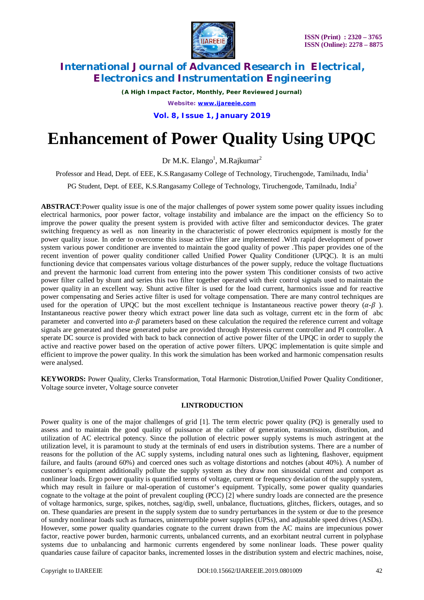

*(A High Impact Factor, Monthly, Peer Reviewed Journal) Website: [www.ijareeie.com](http://www.ijareeie.com)* **Vol. 8, Issue 1, January 2019**

# **Enhancement of Power Quality Using UPQC**

Dr M.K. Elango<sup>1</sup>, M.Rajkumar<sup>2</sup>

Professor and Head, Dept. of EEE, K.S.Rangasamy College of Technology, Tiruchengode, Tamilnadu, India<sup>1</sup>

PG Student, Dept. of EEE, K.S.Rangasamy College of Technology, Tiruchengode, Tamilnadu, India<sup>2</sup>

**ABSTRACT**:Power quality issue is one of the major challenges of power system some power quality issues including electrical harmonics, poor power factor, voltage instability and imbalance are the impact on the efficiency So to improve the power quality the present system is provided with active filter and semiconductor devices. The grater switching frequency as well as non linearity in the characteristic of power electronics equipment is mostly for the power quality issue. In order to overcome this issue active filter are implemented .With rapid development of power system various power conditioner are invented to maintain the good quality of power .This paper provides one of the recent invention of power quality conditioner called Unified Power Quality Conditioner (UPQC). It is an multi functioning device that compensates various voltage disturbances of the power supply, reduce the voltage fluctuations and prevent the harmonic load current from entering into the power system This conditioner consists of two active power filter called by shunt and series this two filter together operated with their control signals used to maintain the power quality in an excellent way. Shunt active filter is used for the load current, harmonics issue and for reactive power compensating and Series active filter is used for voltage compensation. There are many control techniques are used for the operation of UPQC but the most excellent technique is Instantaneous reactive power theory  $(\alpha-\beta)$ . Instantaneous reactive power theory which extract power line data such as voltage, current etc in the form of abc parameter and converted into  $\alpha-\beta$  parameters based on these calculation the required the reference current and voltage signals are generated and these generated pulse are provided through Hysteresis current controller and PI controller. A sperate DC source is provided with back to back connection of active power filter of the UPQC in order to supply the active and reactive power based on the operation of active power filters. UPQC implementation is quite simple and efficient to improve the power quality. In this work the simulation has been worked and harmonic compensation results were analysed.

**KEYWORDS:** Power Quality, Clerks Transformation, Total Harmonic Distrotion,Unified Power Quality Conditioner, Voltage source inveter, Voltage source conveter

### **I.INTRODUCTION**

Power quality is one of the major challenges of grid [1]. The term electric power quality (PQ) is generally used to assess and to maintain the good quality of puissance at the caliber of generation, transmission, distribution, and utilization of AC electrical potency. Since the pollution of electric power supply systems is much astringent at the utilization level, it is paramount to study at the terminals of end users in distribution systems. There are a number of reasons for the pollution of the AC supply systems, including natural ones such as lightening, flashover, equipment failure, and faults (around 60%) and coerced ones such as voltage distortions and notches (about 40%). A number of customer's equipment additionally pollute the supply system as they draw non sinusoidal current and comport as nonlinear loads. Ergo power quality is quantified terms of voltage, current or frequency deviation of the supply system, which may result in failure or mal-operation of customer's equipment. Typically, some power quality quandaries cognate to the voltage at the point of prevalent coupling (PCC) [2] where sundry loads are connected are the presence of voltage harmonics, surge, spikes, notches, sag/dip, swell, unbalance, fluctuations, glitches, flickers, outages, and so on. These quandaries are present in the supply system due to sundry perturbances in the system or due to the presence of sundry nonlinear loads such as furnaces, uninterruptible power supplies (UPSs), and adjustable speed drives (ASDs). However, some power quality quandaries cognate to the current drawn from the AC mains are impecunious power factor, reactive power burden, harmonic currents, unbalanced currents, and an exorbitant neutral current in polyphase systems due to unbalancing and harmonic currents engendered by some nonlinear loads. These power quality quandaries cause failure of capacitor banks, incremented losses in the distribution system and electric machines, noise,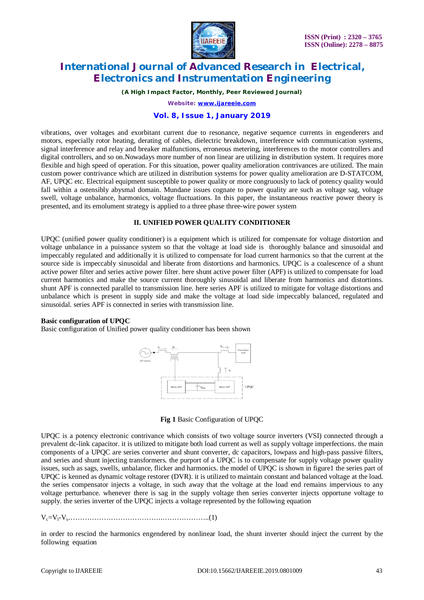

*(A High Impact Factor, Monthly, Peer Reviewed Journal)*

*Website: [www.ijareeie.com](http://www.ijareeie.com)*

### **Vol. 8, Issue 1, January 2019**

vibrations, over voltages and exorbitant current due to resonance, negative sequence currents in engenderers and motors, especially rotor heating, derating of cables, dielectric breakdown, interference with communication systems, signal interference and relay and breaker malfunctions, erroneous metering, interferences to the motor controllers and digital controllers, and so on.Nowadays more number of non linear are utilizing in distribution system. It requires more flexible and high speed of operation. For this situation, power quality amelioration contrivances are utilized. The main custom power contrivance which are utilized in distribution systems for power quality amelioration are D-STATCOM, AF, UPQC etc. Electrical equipment susceptible to power quality or more congruously to lack of potency quality would fall within a ostensibly abysmal domain. Mundane issues cognate to power quality are such as voltage sag, voltage swell, voltage unbalance, harmonics, voltage fluctuations. In this paper, the instantaneous reactive power theory is presented, and its emolument strategy is applied to a three phase three-wire power system

#### **II. UNIFIED POWER QUALITY CONDITIONER**

UPQC (unified power quality conditioner) is a equipment which is utilized for compensate for voltage distortion and voltage unbalance in a puissance system so that the voltage at load side is thoroughly balance and sinusoidal and impeccably regulated and additionally it is utilized to compensate for load current harmonics so that the current at the source side is impeccably sinusoidal and liberate from distortions and harmonics. UPOC is a coalescence of a shunt active power filter and series active power filter. here shunt active power filter (APF) is utilized to compensate for load current harmonics and make the source current thoroughly sinusoidal and liberate from harmonics and distortions. shunt APF is connected parallel to transmission line. here series APF is utilized to mitigate for voltage distortions and unbalance which is present in supply side and make the voltage at load side impeccably balanced, regulated and sinusoidal. series APF is connected in series with transmission line.

#### **Basic configuration of UPQC**

Basic configuration of Unified power quality conditioner has been shown





UPQC is a potency electronic contrivance which consists of two voltage source inverters (VSI) connected through a prevalent dc-link capacitor. it is utilized to mitigate both load current as well as supply voltage imperfections. the main components of a UPQC are series converter and shunt converter, dc capacitors, lowpass and high-pass passive filters, and series and shunt injecting transformers. the purport of a UPQC is to compensate for supply voltage power quality issues, such as sags, swells, unbalance, flicker and harmonics. the model of UPQC is shown in figure1 the series part of UPQC is kenned as dynamic voltage restorer (DVR). it is utilized to maintain constant and balanced voltage at the load. the series compensator injects a voltage, in such away that the voltage at the load end remains impervious to any voltage perturbance. whenever there is sag in the supply voltage then series converter injects opportune voltage to supply. the series inverter of the UPQC injects a voltage represented by the following equation

Vc=Vl-Vs………………………………….………………..(1)

in order to rescind the harmonics engendered by nonlinear load, the shunt inverter should inject the current by the following equation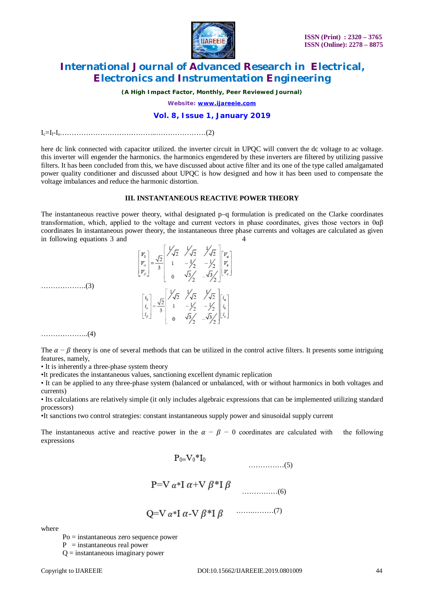

*(A High Impact Factor, Monthly, Peer Reviewed Journal)*

*Website: [www.ijareeie.com](http://www.ijareeie.com)*

### **Vol. 8, Issue 1, January 2019**

Ic=Il-Is…………………………………..…………………(2)

here dc link connected with capacitor utilized. the inverter circuit in UPQC will convert the dc voltage to ac voltage. this inverter will engender the harmonics. the harmonics engendered by these inverters are filtered by utilizing passive filters. It has been concluded from this, we have discussed about active filter and its one of the type called amalgamated power quality conditioner and discussed about UPQC is how designed and how it has been used to compensate the voltage imbalances and reduce the harmonic distortion.

### **III. INSTANTANEOUS REACTIVE POWER THEORY**

The instantaneous reactive power theory, withal designated p–q formulation is predicated on the Clarke coordinates transformation, which, applied to the voltage and current vectors in phase coordinates, gives those vectors in 0αβ coordinates In instantaneous power theory, the instantaneous three phase currents and voltages are calculated as given in following equations 3 and



……………….(3)

………………..(4)

The  $\alpha - \beta$  theory is one of several methods that can be utilized in the control active filters. It presents some intriguing features, namely,

• It is inherently a three-phase system theory

•It predicates the instantaneous values, sanctioning excellent dynamic replication

• It can be applied to any three-phase system (balanced or unbalanced, with or without harmonics in both voltages and currents)

• Its calculations are relatively simple (it only includes algebraic expressions that can be implemented utilizing standard processors)

•It sanctions two control strategies: constant instantaneous supply power and sinusoidal supply current

The instantaneous active and reactive power in the  $\alpha - \beta - 0$  coordinates are calculated with the following expressions

$$
P_0 = V_0 * I_0
$$
  
............(5)  

$$
P = V \alpha * I \alpha + V \beta * I \beta
$$
  
............(6)

$$
Q=V \alpha * I \alpha - V \beta * I \beta \qquad \qquad (7)
$$

where

Po = instantaneous zero sequence power

 $P =$  instantaneous real power

 $Q =$  instantaneous imaginary power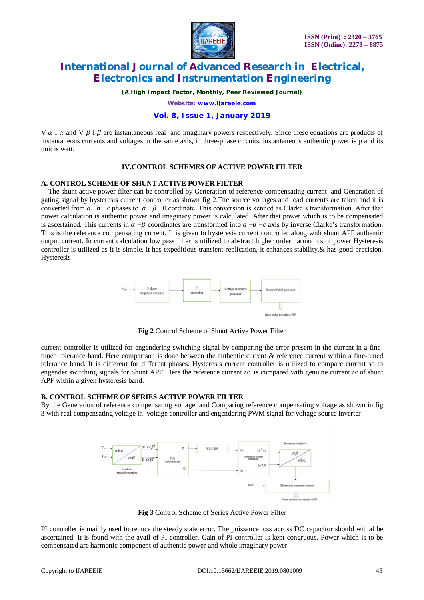

*(A High Impact Factor, Monthly, Peer Reviewed Journal)*

*Website: [www.ijareeie.com](http://www.ijareeie.com)*

### **Vol. 8, Issue 1, January 2019**

V  $\alpha$  I  $\alpha$  and V  $\beta$  I  $\beta$  are instantaneous real and imaginary powers respectively. Since these equations are products of instantaneous currents and voltages in the same axis, in three-phase circuits, instantaneous authentic power is p and its unit is watt.

### **IV.CONTROL SCHEMES OF ACTIVE POWER FILTER**

### **A. CONTROL SCHEME OF SHUNT ACTIVE POWER FILTER**

The shunt active power filter can be controlled by Generation of reference compensating current and Generation of gating signal by hysteresis current controller as shown fig 2.The source voltages and load currents are taken and it is converted from  $a - b - c$  phases to  $\alpha - \beta - 0$  cordinate. This conversion is kenned as Clarke's transformation. After that power calculation is authentic power and imaginary power is calculated. After that power which is to be compensated is ascertained. This currents in  $\alpha - \beta$  coordinates are transformed into  $\alpha - b - c$  axis by inverse Clarke's transformation. This is the reference compensating current. It is given to hysteresis current controller along with shunt APF authentic output current. In current calculation low pass filter is utilized to abstract higher order harmonics of power Hysteresis controller is utilized as it is simple, it has expeditious transient replication, it enhances stability,& has good precision. Hysteresis



**Fig 2** Control Scheme of Shunt Active Power Filter

current controller is utilized for engendering switching signal by comparing the error present in the current in a finetuned tolerance band. Here comparison is done between the authentic current & reference current within a fine-tuned tolerance band. It is different for different phases. Hysteresis current controller is utilized to compare current so to engender switching signals for Shunt APF. Here the reference current  $ic$  is compared with genuine current  $ic$  of shunt APF within a given hysteresis band.

### **B. CONTROL SCHEME OF SERIES ACTIVE POWER FILTER**

By the Generation of reference compensating voltage and Comparing reference compensating voltage as shown in fig 3 with real compensating voltage in voltage controller and engendering PWM signal for voltage source inverter



**Fig 3** Control Scheme of Series Active Power Filter

PI controller is mainly used to reduce the steady state error. The puissance loss across DC capacitor should withal be ascertained. It is found with the avail of PI controller. Gain of PI controller is kept congruous. Power which is to be compensated are harmonic component of authentic power and whole imaginary power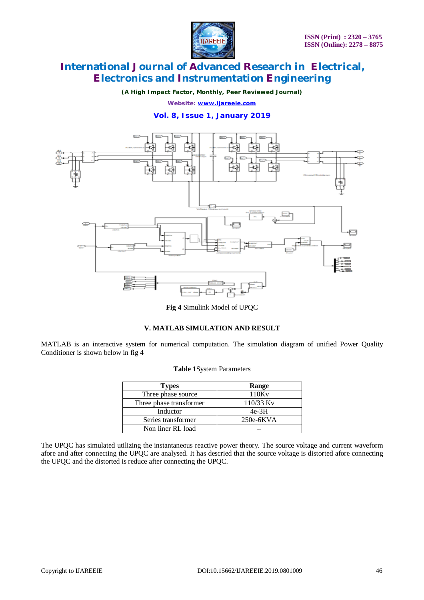

*(A High Impact Factor, Monthly, Peer Reviewed Journal)*

*Website: [www.ijareeie.com](http://www.ijareeie.com)*

### **Vol. 8, Issue 1, January 2019**



**Fig 4** Simulink Model of UPQC

### **V. MATLAB SIMULATION AND RESULT**

MATLAB is an interactive system for numerical computation. The simulation diagram of unified Power Quality Conditioner is shown below in fig 4

| <b>Types</b>            | Range       |
|-------------------------|-------------|
| Three phase source      | 110Kv       |
| Three phase transformer | $110/33$ Ky |
| Inductor                | $4e-3H$     |
| Series transformer      | $250e-6KVA$ |
| Non liner RL load       |             |

### **Table 1**System Parameters

The UPQC has simulated utilizing the instantaneous reactive power theory. The source voltage and current waveform afore and after connecting the UPQC are analysed. It has descried that the source voltage is distorted afore connecting the UPQC and the distorted is reduce after connecting the UPQC.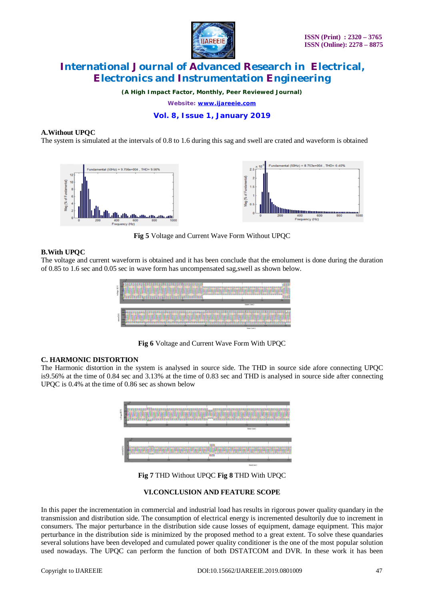

*(A High Impact Factor, Monthly, Peer Reviewed Journal) Website: [www.ijareeie.com](http://www.ijareeie.com)*

### **Vol. 8, Issue 1, January 2019**

### **A.Without UPQC**

The system is simulated at the intervals of 0.8 to 1.6 during this sag and swell are crated and waveform is obtained



**Fig 5** Voltage and Current Wave Form Without UPQC

### **B.With UPQC**

The voltage and current waveform is obtained and it has been conclude that the emolument is done during the duration of 0.85 to 1.6 sec and 0.05 sec in wave form has uncompensated sag,swell as shown below.



**Fig 6** Voltage and Current Wave Form With UPQC

### **C. HARMONIC DISTORTION**

The Harmonic distortion in the system is analysed in source side. The THD in source side afore connecting UPQC is9.56% at the time of 0.84 sec and 3.13% at the time of 0.83 sec and THD is analysed in source side after connecting UPQC is 0.4% at the time of 0.86 sec as shown below



**Fig 7** THD Without UPQC **Fig 8** THD With UPQC

### **VI.CONCLUSION AND FEATURE SCOPE**

In this paper the incrementation in commercial and industrial load has results in rigorous power quality quandary in the transmission and distribution side. The consumption of electrical energy is incremented desultorily due to increment in consumers. The major perturbance in the distribution side cause losses of equipment, damage equipment. This major perturbance in the distribution side is minimized by the proposed method to a great extent. To solve these quandaries several solutions have been developed and cumulated power quality conditioner is the one of the most popular solution used nowadays. The UPQC can perform the function of both DSTATCOM and DVR. In these work it has been